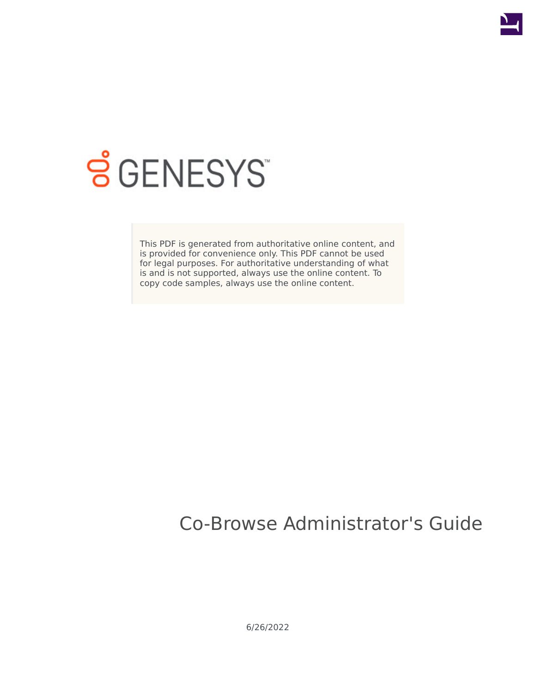

# **SGENESYS**

This PDF is generated from authoritative online content, and is provided for convenience only. This PDF cannot be used for legal purposes. For authoritative understanding of what is and is not supported, always use the online content. To copy code samples, always use the online content.

# Co-Browse Administrator's Guide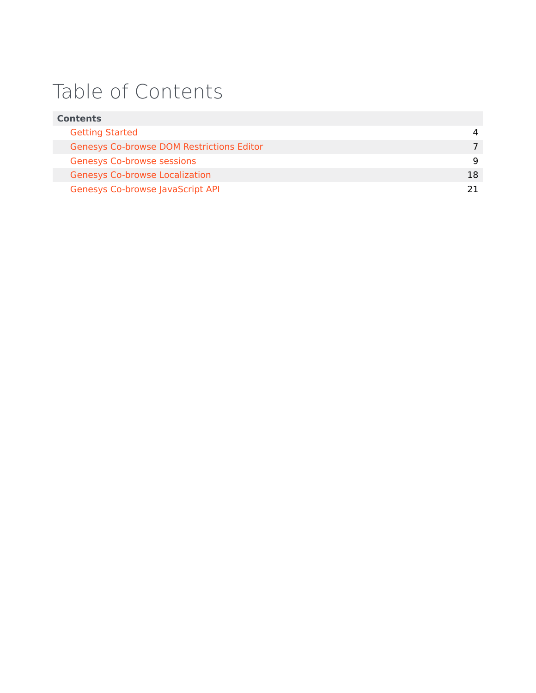# Table of Contents

| <b>Contents</b>                                  |    |  |
|--------------------------------------------------|----|--|
| <b>Getting Started</b>                           |    |  |
| <b>Genesys Co-browse DOM Restrictions Editor</b> |    |  |
| <b>Genesys Co-browse sessions</b>                | q  |  |
| <b>Genesys Co-browse Localization</b>            | 18 |  |
| <b>Genesys Co-browse JavaScript API</b>          |    |  |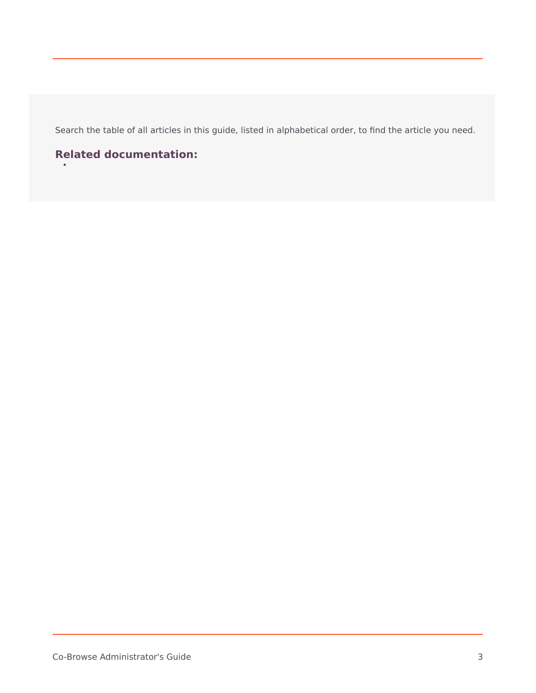Search the table of all articles in this guide, listed in alphabetical order, to find the article you need.

### **Related documentation:**

•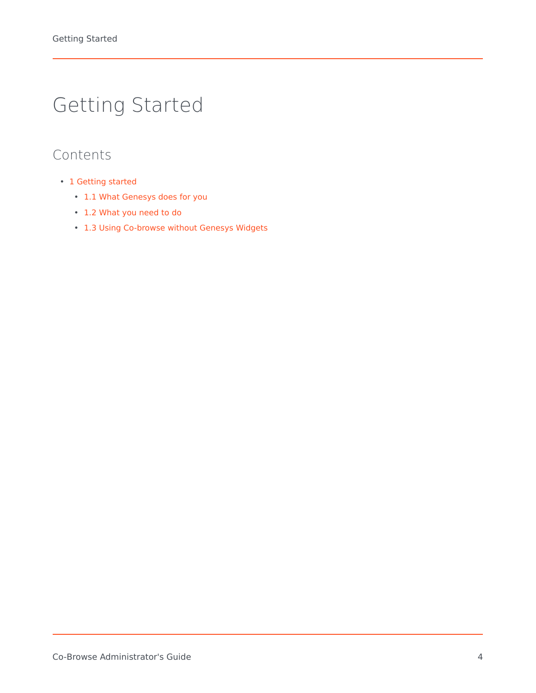# <span id="page-3-0"></span>Getting Started

### Contents

- 1 [Getting started](#page-4-0)
	- 1.1 [What Genesys does for you](#page-4-1)
	- 1.2 [What you need to do](#page-5-0)
	- 1.3 [Using Co-browse without Genesys Widgets](#page-5-1)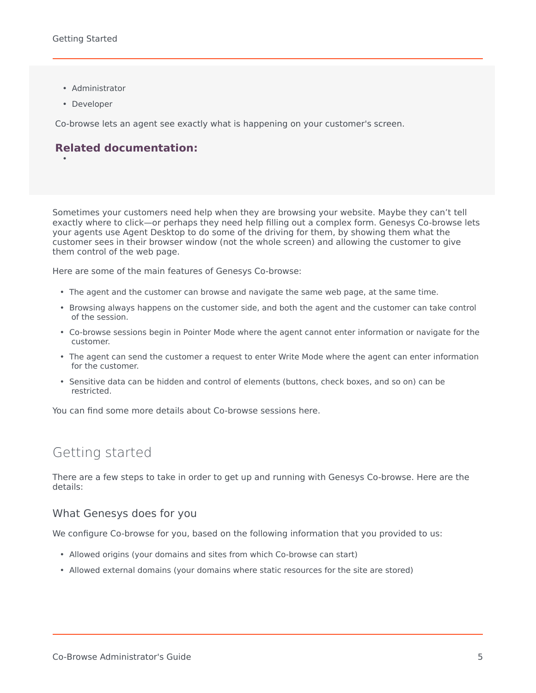- Administrator
- Developer

•

Co-browse lets an agent see exactly what is happening on your customer's screen.

### **Related documentation:**

Sometimes your customers need help when they are browsing your website. Maybe they can't tell exactly where to click—or perhaps they need help filling out a complex form. Genesys Co-browse lets your agents use Agent Desktop to do some of the driving for them, by showing them what the customer sees in their browser window (not the whole screen) and allowing the customer to give them control of the web page.

Here are some of the main features of Genesys Co-browse:

- The agent and the customer can browse and navigate the same web page, at the same time.
- Browsing always happens on the customer side, and both the agent and the customer can take control of the session.
- Co-browse sessions begin in Pointer Mode where the agent cannot enter information or navigate for the customer.
- The agent can send the customer a request to enter Write Mode where the agent can enter information for the customer.
- Sensitive data can be hidden and control of elements (buttons, check boxes, and so on) can be restricted.

You can find some more details about Co-browse sessions here.

### <span id="page-4-0"></span>Getting started

There are a few steps to take in order to get up and running with Genesys Co-browse. Here are the details:

### <span id="page-4-1"></span>What Genesys does for you

We configure Co-browse for you, based on the following information that you provided to us:

- Allowed origins (your domains and sites from which Co-browse can start)
- Allowed external domains (your domains where static resources for the site are stored)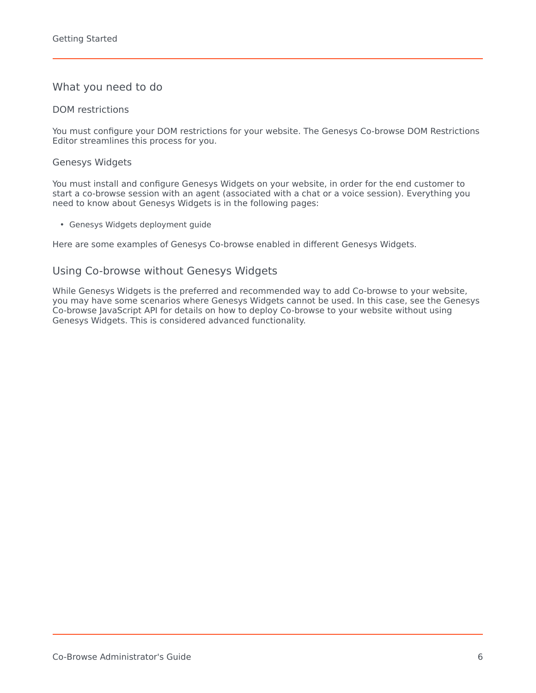### <span id="page-5-0"></span>What you need to do

### DOM restrictions

You must configure your DOM restrictions for your website. The Genesys Co-browse DOM Restrictions Editor streamlines this process for you.

### Genesys Widgets

You must install and configure Genesys Widgets on your website, in order for the end customer to start a co-browse session with an agent (associated with a chat or a voice session). Everything you need to know about Genesys Widgets is in the following pages:

• Genesys Widgets deployment guide

Here are some examples of Genesys Co-browse enabled in different Genesys Widgets.

### <span id="page-5-1"></span>Using Co-browse without Genesys Widgets

While Genesys Widgets is the preferred and recommended way to add Co-browse to your website, you may have some scenarios where Genesys Widgets cannot be used. In this case, see the Genesys Co-browse JavaScript API for details on how to deploy Co-browse to your website without using Genesys Widgets. This is considered advanced functionality.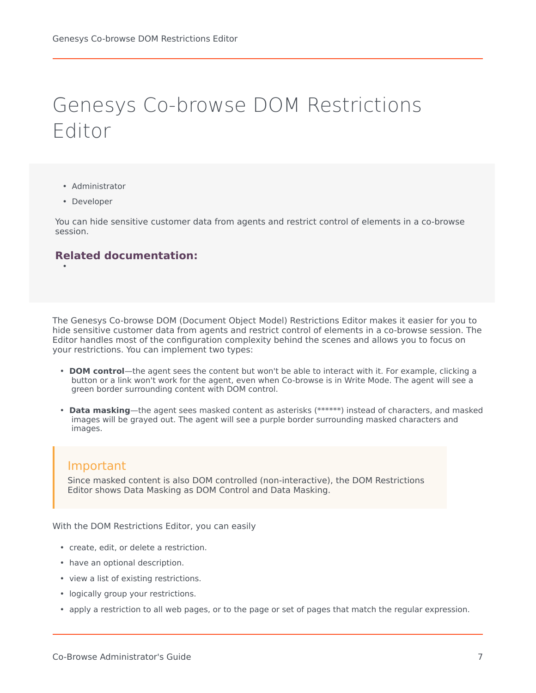# <span id="page-6-0"></span>Genesys Co-browse DOM Restrictions Editor

- Administrator
- Developer

•

You can hide sensitive customer data from agents and restrict control of elements in a co-browse session.

### **Related documentation:**

The Genesys Co-browse DOM (Document Object Model) Restrictions Editor makes it easier for you to hide sensitive customer data from agents and restrict control of elements in a co-browse session. The Editor handles most of the configuration complexity behind the scenes and allows you to focus on your restrictions. You can implement two types:

- **DOM control**—the agent sees the content but won't be able to interact with it. For example, clicking a button or a link won't work for the agent, even when Co-browse is in Write Mode. The agent will see a green border surrounding content with DOM control.
- **Data masking**—the agent sees masked content as asterisks (*\*\*\*\*\*\**) instead of characters, and masked images will be grayed out. The agent will see a purple border surrounding masked characters and images.

### Important

Since masked content is also DOM controlled (non-interactive), the DOM Restrictions Editor shows Data Masking as DOM Control and Data Masking.

With the DOM Restrictions Editor, you can easily

- create, edit, or delete a restriction.
- have an optional description.
- view a list of existing restrictions.
- logically group your restrictions.
- apply a restriction to all web pages, or to the page or set of pages that match the regular expression.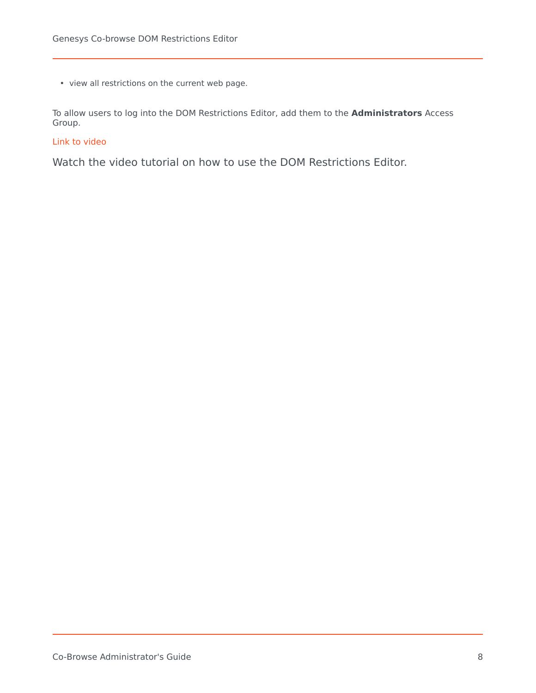• view all restrictions on the current web page.

To allow users to log into the DOM Restrictions Editor, add them to the **Administrators** Access Group.

### [Link to video](https://player.vimeo.com/video/292237026?title=0&byline=0&portrait=0)

Watch the video tutorial on how to use the DOM Restrictions Editor.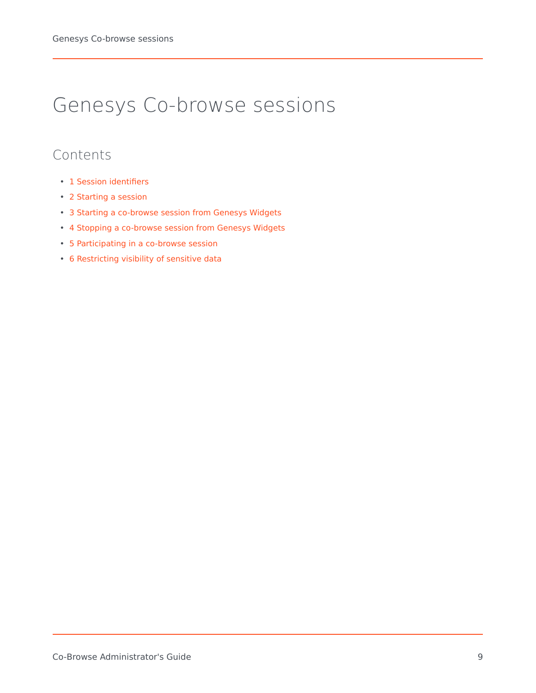# <span id="page-8-0"></span>Genesys Co-browse sessions

### Contents

- 1 [Session identifiers](#page-9-0)
- 2 [Starting a session](#page-9-1)
- 3 [Starting a co-browse session from Genesys Widgets](#page-9-2)
- 4 [Stopping a co-browse session from Genesys Widgets](#page-14-0)
- 5 [Participating in a co-browse session](#page-15-0)
- 6 [Restricting visibility of sensitive data](#page-16-0)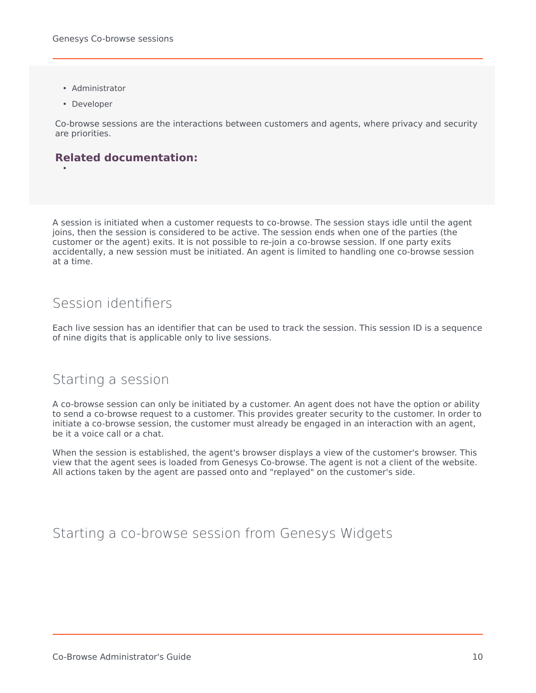- Administrator
- Developer

•

Co-browse sessions are the interactions between customers and agents, where privacy and security are priorities.

### **Related documentation:**

A session is initiated when a customer requests to co-browse. The session stays idle until the agent joins, then the session is considered to be active. The session ends when one of the parties (the customer or the agent) exits. It is not possible to re-join a co-browse session. If one party exits accidentally, a new session must be initiated. An agent is limited to handling one co-browse session at a time.

### <span id="page-9-0"></span>Session identifiers

Each live session has an identifier that can be used to track the session. This session ID is a sequence of nine digits that is applicable only to live sessions.

### <span id="page-9-1"></span>Starting a session

A co-browse session can only be initiated by a customer. An agent does not have the option or ability to send a co-browse request to a customer. This provides greater security to the customer. In order to initiate a co-browse session, the customer must already be engaged in an interaction with an agent, be it a voice call or a chat.

When the session is established, the agent's browser displays a view of the customer's browser. This view that the agent sees is loaded from Genesys Co-browse. The agent is not a client of the website. All actions taken by the agent are passed onto and "replayed" on the customer's side.

### <span id="page-9-2"></span>Starting a co-browse session from Genesys Widgets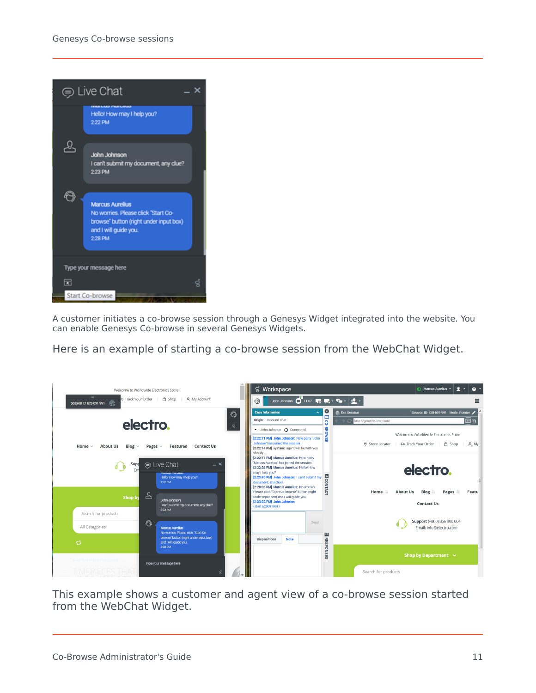

A customer initiates a co-browse session through a Genesys Widget integrated into the website. You can enable Genesys Co-browse in several Genesys Widgets.

Here is an example of starting a co-browse session from the WebChat Widget.



This example shows a customer and agent view of a co-browse session started from the WebChat Widget.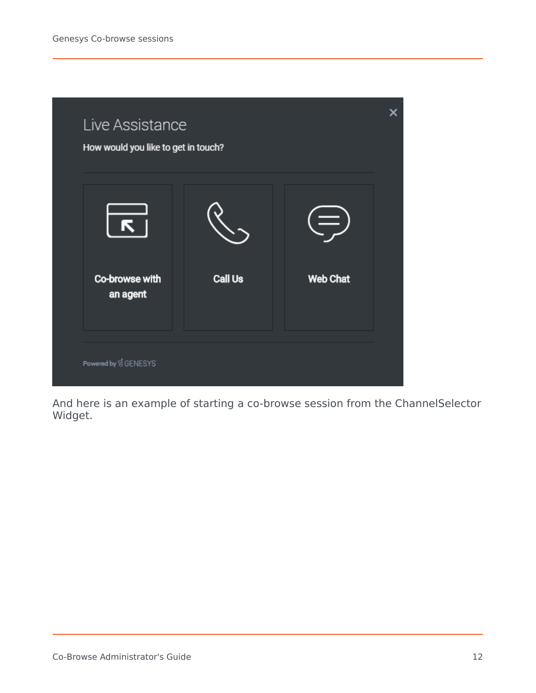

And here is an example of starting a co-browse session from the ChannelSelector Widget.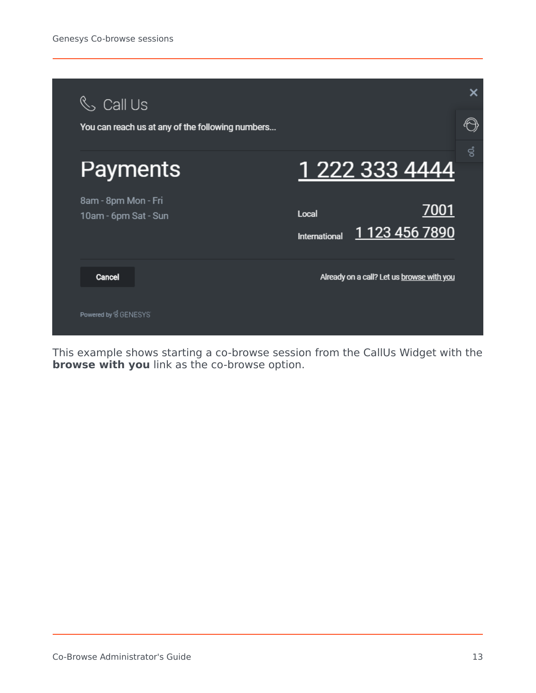

This example shows starting a co-browse session from the CallUs Widget with the **browse with you** link as the co-browse option.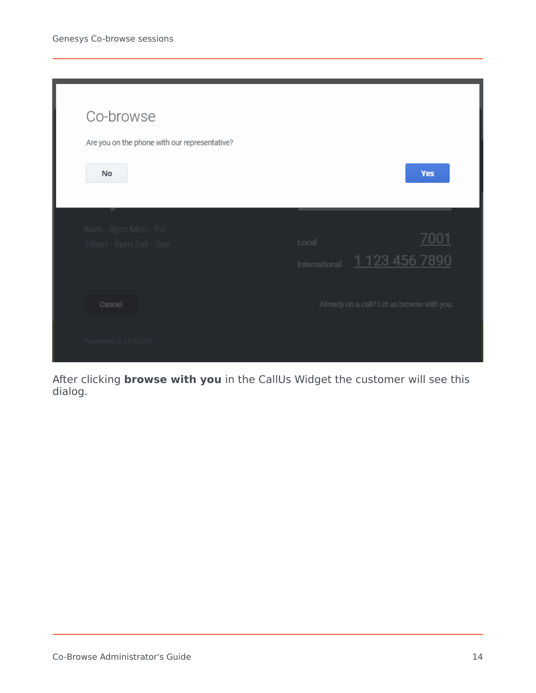| Co-browse                                     |                                                        |
|-----------------------------------------------|--------------------------------------------------------|
| Are you on the phone with our representative? |                                                        |
| <b>No</b>                                     | Yes                                                    |
|                                               |                                                        |
| 8am - 8pm Mon - Fri<br>10am - 6pm Sat - Sun   | 7001<br>Local<br>1 1 23 4 5 6 7 8 9 0<br>International |
| Cancel                                        | Already on a call? Let us browse with you              |
| Powered by SGENESYS                           |                                                        |

After clicking **browse with you** in the CallUs Widget the customer will see this dialog.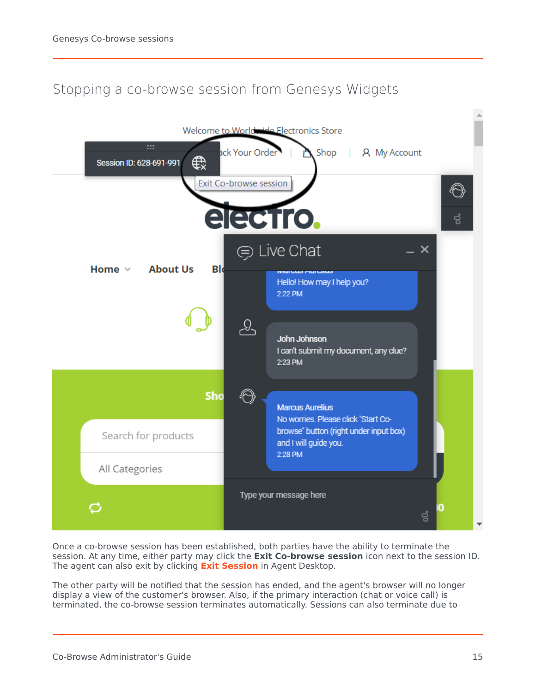### Stopping a co-browse session from Genesys Widgets

<span id="page-14-0"></span>

Once a co-browse session has been established, both parties have the ability to terminate the session. At any time, either party may click the **Exit Co-browse session** icon next to the session ID. The agent can also exit by clicking **[Exit Session](/PEC-AD/Current/Agent/ADcobrow#Scbs)** in Agent Desktop.

The other party will be notified that the session has ended, and the agent's browser will no longer display a view of the customer's browser. Also, if the primary interaction (chat or voice call) is terminated, the co-browse session terminates automatically. Sessions can also terminate due to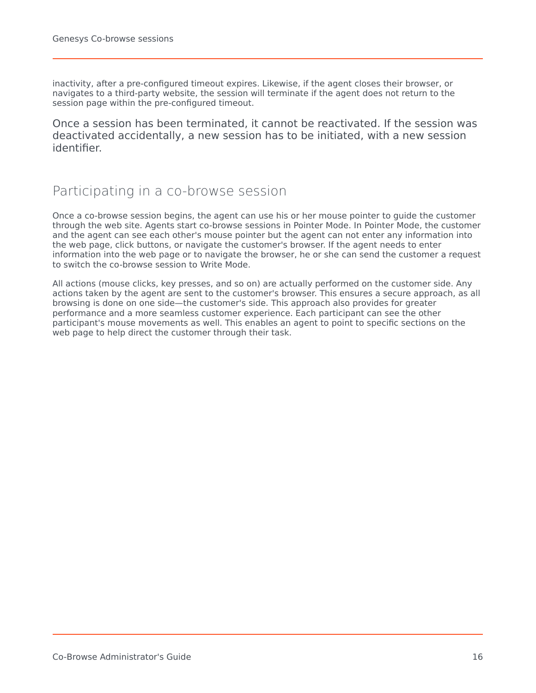inactivity, after a pre-configured timeout expires. Likewise, if the agent closes their browser, or navigates to a third-party website, the session will terminate if the agent does not return to the session page within the pre-configured timeout.

Once a session has been terminated, it cannot be reactivated. If the session was deactivated accidentally, a new session has to be initiated, with a new session identifier.

### <span id="page-15-0"></span>Participating in a co-browse session

Once a co-browse session begins, the agent can use his or her mouse pointer to guide the customer through the web site. Agents start co-browse sessions in Pointer Mode. In Pointer Mode, the customer and the agent can see each other's mouse pointer but the agent can not enter any information into the web page, click buttons, or navigate the customer's browser. If the agent needs to enter information into the web page or to navigate the browser, he or she can send the customer a request to switch the co-browse session to Write Mode.

All actions (mouse clicks, key presses, and so on) are actually performed on the customer side. Any actions taken by the agent are sent to the customer's browser. This ensures a secure approach, as all browsing is done on one side—the customer's side. This approach also provides for greater performance and a more seamless customer experience. Each participant can see the other participant's mouse movements as well. This enables an agent to point to specific sections on the web page to help direct the customer through their task.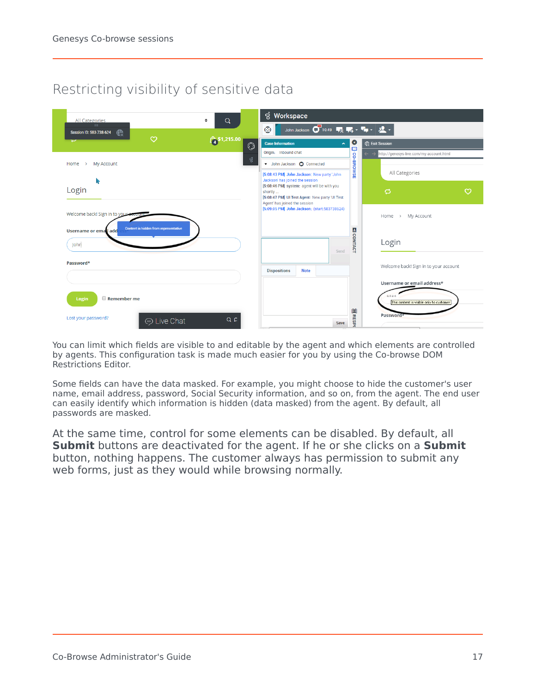### Restricting visibility of sensitive data

<span id="page-16-0"></span>

You can limit which fields are visible to and editable by the agent and which elements are controlled by agents. This configuration task is made much easier for you by using the Co-browse DOM Restrictions Editor.

Some fields can have the data masked. For example, you might choose to hide the customer's user name, email address, password, Social Security information, and so on, from the agent. The end user can easily identify which information is hidden (data masked) from the agent. By default, all passwords are masked.

At the same time, control for some elements can be disabled. By default, all **Submit** buttons are deactivated for the agent. If he or she clicks on a **Submit** button, nothing happens. The customer always has permission to submit any web forms, just as they would while browsing normally.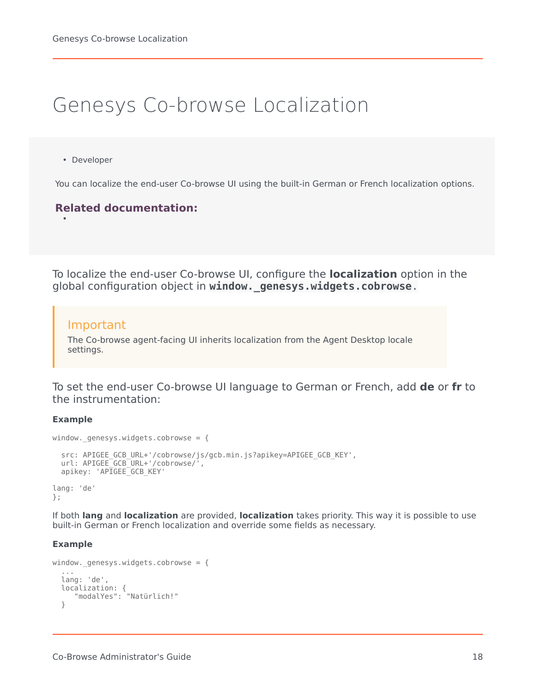# <span id="page-17-0"></span>Genesys Co-browse Localization

• Developer

•

You can localize the end-user Co-browse UI using the built-in German or French localization options.

### **Related documentation:**

To localize the end-user Co-browse UI, configure the **localization** option in the global configuration object in **window.\_genesys.widgets.cobrowse**.

### Important

The Co-browse agent-facing UI inherits localization from the Agent Desktop locale settings.

To set the end-user Co-browse UI language to German or French, add **de** or **fr** to the instrumentation:

### **Example**

```
window. genesys.widgets.cobrowse = {src: APIGEE GCB_URL+'/cobrowse/js/gcb.min.js?apikey=APIGEE_GCB_KEY',
 url: APIGEE_GCB_URL+'/cobrowse/',
 apikey: 'APIGEE_GCB_KEY'
lang: 'de'
};
```
If both **lang** and **localization** are provided, **localization** takes priority. This way it is possible to use built-in German or French localization and override some fields as necessary.

### **Example**

```
window._genesys.widgets.cobrowse = {
  ...
  lang: 'de',
  localization: {
     "modalYes": "Natürlich!"
  }
```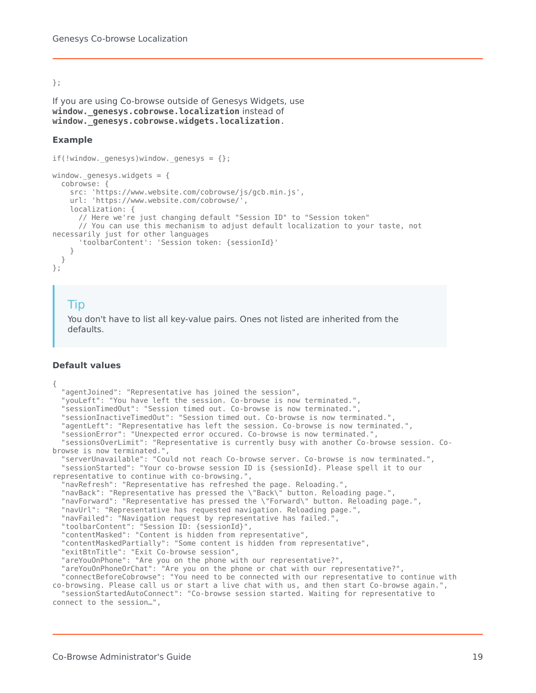#### };

```
If you are using Co-browse outside of Genesys Widgets, use
window._genesys.cobrowse.localization instead of
window._genesys.cobrowse.widgets.localization.
```
#### **Example**

```
if(!window._genesys)window._genesys = {}window. genesys.widgets = {
 cobrowse: {
   src: 'https://www.website.com/cobrowse/js/gcb.min.js',
    url: 'https://www.website.com/cobrowse/',
    localization: {
      // Here we're just changing default "Session ID" to "Session token"
      // You can use this mechanism to adjust default localization to your taste, not
necessarily just for other languages
      'toolbarContent': 'Session token: {sessionId}'
   }
 }
};
```
### Tip

You don't have to list all key-value pairs. Ones not listed are inherited from the defaults.

#### **Default values**

{ "agentJoined": "Representative has joined the session", "youLeft": "You have left the session. Co-browse is now terminated.", "sessionTimedOut": "Session timed out. Co-browse is now terminated.", "sessionInactiveTimedOut": "Session timed out. Co-browse is now terminated.", "agentLeft": "Representative has left the session. Co-browse is now terminated.", "sessionError": "Unexpected error occured. Co-browse is now terminated.", "sessionsOverLimit": "Representative is currently busy with another Co-browse session. Cobrowse is now terminated.", "serverUnavailable": "Could not reach Co-browse server. Co-browse is now terminated.", "sessionStarted": "Your co-browse session ID is {sessionId}. Please spell it to our representative to continue with co-browsing.", "navRefresh": "Representative has refreshed the page. Reloading.", "navBack": "Representative has pressed the \"Back\" button. Reloading page.", "navForward": "Representative has pressed the \"Forward\" button. Reloading page.", "navUrl": "Representative has requested navigation. Reloading page.", "navFailed": "Navigation request by representative has failed.", "toolbarContent": "Session ID: {sessionId}", "contentMasked": "Content is hidden from representative", "contentMaskedPartially": "Some content is hidden from representative", "exitBtnTitle": "Exit Co-browse session", "areYouOnPhone": "Are you on the phone with our representative?", "areYouOnPhoneOrChat": "Are you on the phone or chat with our representative?", "connectBeforeCobrowse": "You need to be connected with our representative to continue with co-browsing. Please call us or start a live chat with us, and then start Co-browse again.", "sessionStartedAutoConnect": "Co-browse session started. Waiting for representative to connect to the session…",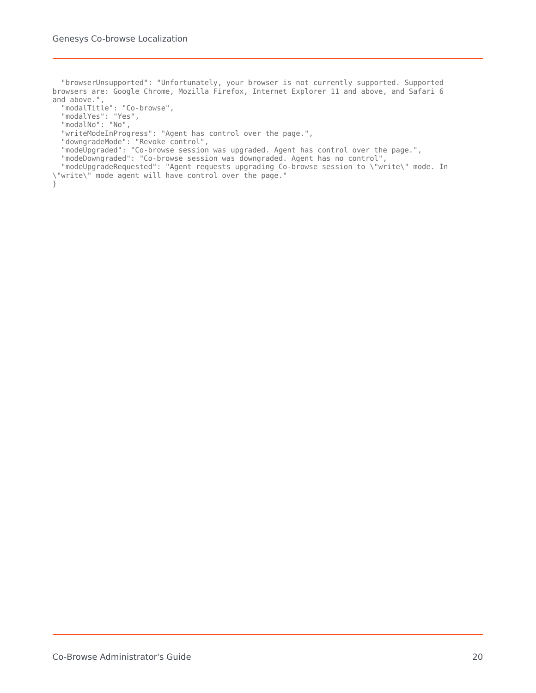"browserUnsupported": "Unfortunately, your browser is not currently supported. Supported browsers are: Google Chrome, Mozilla Firefox, Internet Explorer 11 and above, and Safari 6 and above.", "modalTitle": "Co-browse", "modalYes": "Yes", "modalNo": "No", "writeModeInProgress": "Agent has control over the page.", "downgradeMode": "Revoke control", "modeUpgraded": "Co-browse session was upgraded. Agent has control over the page.", "modeDowngraded": "Co-browse session was downgraded. Agent has no control", "modeUpgradeRequested": "Agent requests upgrading Co-browse session to \"write\" mode. In \"write\" mode agent will have control over the page." }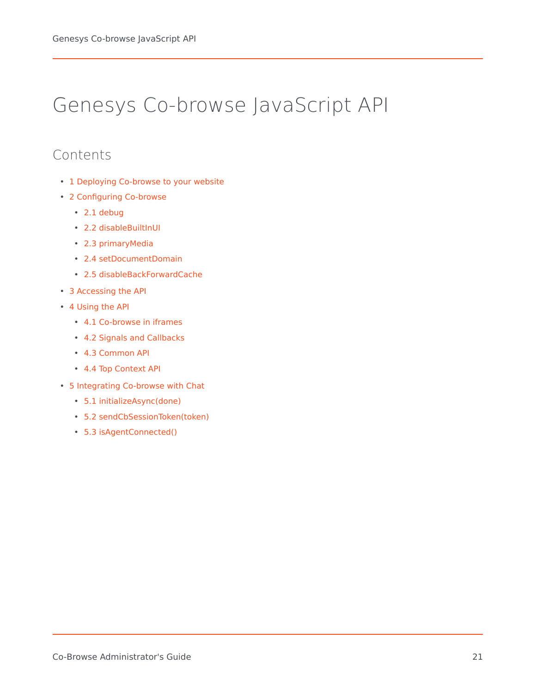# <span id="page-20-0"></span>Genesys Co-browse JavaScript API

### Contents

- 1 [Deploying Co-browse to your website](#page-21-0)
- 2 [Configuring Co-browse](#page-21-1)
	- 2.1 [debug](#page-21-2)
	- 2.2 [disableBuiltInUI](#page-21-3)
	- 2.3 [primaryMedia](#page-22-0)
	- 2.4 [setDocumentDomain](#page-22-1)
	- 2.5 [disableBackForwardCache](#page-22-2)
- 3 [Accessing the API](#page-23-0)
- 4 [Using the API](#page-23-1)
	- 4.1 [Co-browse in iframes](#page-23-2)
	- 4.2 [Signals and Callbacks](#page-24-0)
	- 4.3 [Common API](#page-25-0)
	- 4.4 [Top Context API](#page-27-0)
- 5 [Integrating Co-browse with Chat](#page-30-0)
	- 5.1 [initializeAsync\(done\)](#page-30-1)
	- 5.2 [sendCbSessionToken\(token\)](#page-30-2)
	- 5.3 [isAgentConnected\(\)](#page-30-3)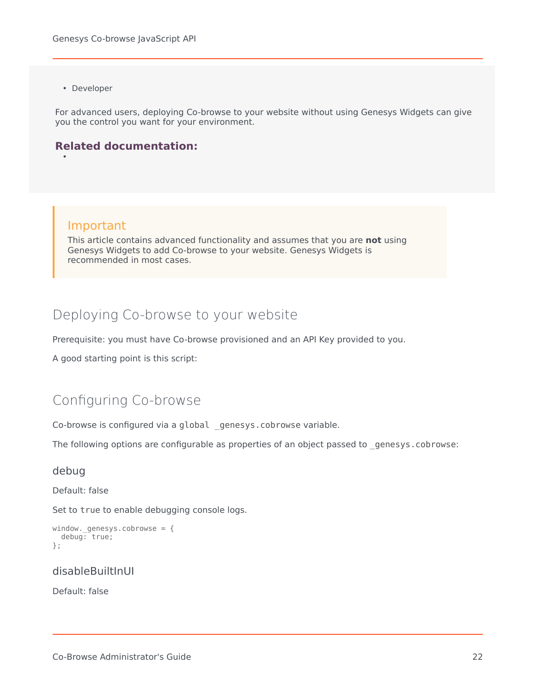• Developer

•

For advanced users, deploying Co-browse to your website without using Genesys Widgets can give you the control you want for your environment.

### **Related documentation:**

### Important

This article contains advanced functionality and assumes that you are **not** using Genesys Widgets to add Co-browse to your website. Genesys Widgets is recommended in most cases.

### <span id="page-21-0"></span>Deploying Co-browse to your website

Prerequisite: you must have Co-browse provisioned and an API Key provided to you.

A good starting point is this script:

### <span id="page-21-1"></span>Configuring Co-browse

Co-browse is configured via a global genesys.cobrowse variable.

The following options are configurable as properties of an object passed to \_genesys.cobrowse:

### <span id="page-21-2"></span>debug

Default: false

Set to true to enable debugging console logs.

```
window. genesys.cobrowse = {debug: true;
};
```
### <span id="page-21-3"></span>disableBuiltInUI

Default: false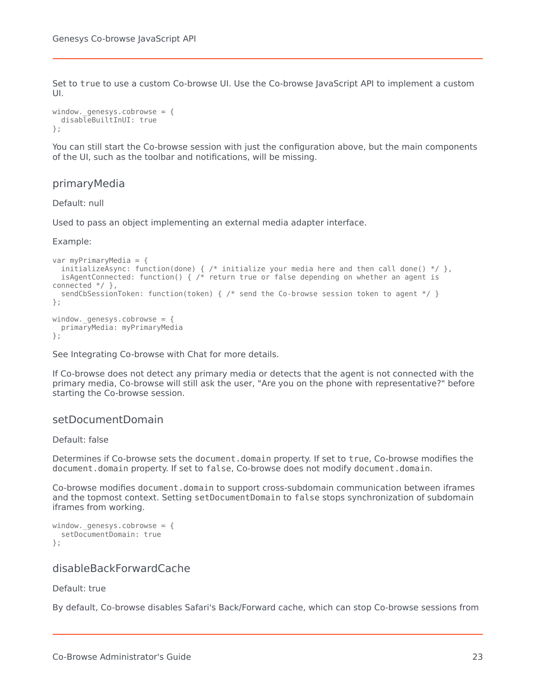Set to true to use a custom Co-browse UI. Use the Co-browse JavaScript API to implement a custom UI.

```
window. qenesys.cobrowse = {
  disableBuiltInUI: true
};
```
You can still start the Co-browse session with just the configuration above, but the main components of the UI, such as the toolbar and notifications, will be missing.

### <span id="page-22-0"></span>primaryMedia

Default: null

Used to pass an object implementing an external media adapter interface.

Example:

```
var myPrimaryMedia = {
 initializeAsync: function(done) { /* initialize your media here and then call done() */ },
 isAgentConnected: function() { /* return true or false depending on whether an agent is
connected */ },
 sendCbSessionToken: function(token) { /* send the Co-browse session token to agent */ }
};
window. genesys.cobrowse = \{primaryMedia: myPrimaryMedia
};
```
See Integrating Co-browse with Chat for more details.

If Co-browse does not detect any primary media or detects that the agent is not connected with the primary media, Co-browse will still ask the user, "Are you on the phone with representative?" before starting the Co-browse session.

### <span id="page-22-1"></span>setDocumentDomain

#### Default: false

Determines if Co-browse sets the document.domain property. If set to true, Co-browse modifies the document.domain property. If set to false, Co-browse does not modify document.domain.

Co-browse modifies document.domain to support cross-subdomain communication between iframes and the topmost context. Setting setDocumentDomain to false stops synchronization of subdomain iframes from working.

```
window. qenesys.cobrowse = {
  setDocumentDomain: true
};
```
### <span id="page-22-2"></span>disableBackForwardCache

Default: true

By default, Co-browse disables Safari's Back/Forward cache, which can stop Co-browse sessions from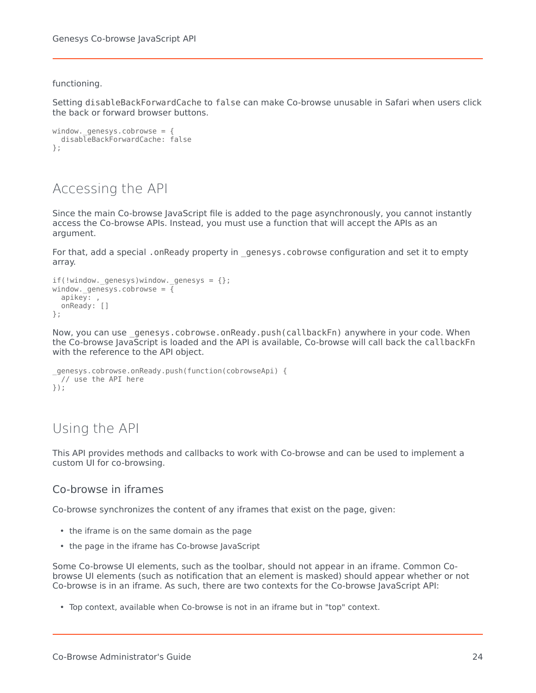#### functioning.

Setting disableBackForwardCache to false can make Co-browse unusable in Safari when users click the back or forward browser buttons.

```
window._genesys.cobrowse = {
 disableBackForwardCache: false
};
```
### <span id="page-23-0"></span>Accessing the API

Since the main Co-browse JavaScript file is added to the page asynchronously, you cannot instantly access the Co-browse APIs. Instead, you must use a function that will accept the APIs as an argument.

For that, add a special . onReady property in genesys.cobrowse configuration and set it to empty array.

```
if(!window. genesys)window. genesys = \{\};
window. genesys.cobrowse = \overline{f}apikey: ,
  onReady: []
};
```
Now, you can use genesys.cobrowse.onReady.push(callbackFn) anywhere in your code. When the Co-browse JavaScript is loaded and the API is available, Co-browse will call back the callbackFn with the reference to the API object.

```
_genesys.cobrowse.onReady.push(function(cobrowseApi) {
 // use the API here
});
```
### <span id="page-23-1"></span>Using the API

This API provides methods and callbacks to work with Co-browse and can be used to implement a custom UI for co-browsing.

### <span id="page-23-2"></span>Co-browse in iframes

Co-browse synchronizes the content of any iframes that exist on the page, given:

- the iframe is on the same domain as the page
- the page in the iframe has Co-browse JavaScript

Some Co-browse UI elements, such as the toolbar, should not appear in an iframe. Common Cobrowse UI elements (such as notification that an element is masked) should appear whether or not Co-browse is in an iframe. As such, there are two contexts for the Co-browse JavaScript API:

• Top context, available when Co-browse is not in an iframe but in "top" context.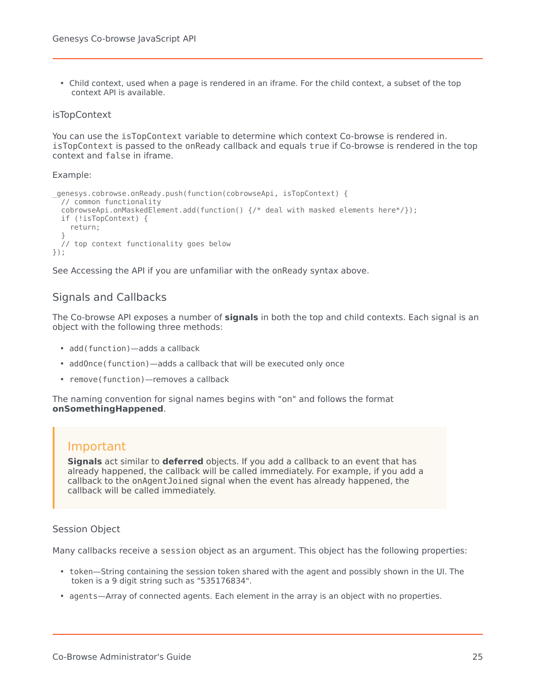• Child context, used when a page is rendered in an iframe. For the child context, a subset of the top context API is available.

### isTopContext

You can use the isTopContext variable to determine which context Co-browse is rendered in. isTopContext is passed to the onReady callback and equals true if Co-browse is rendered in the top context and false in iframe.

Example:

```
_genesys.cobrowse.onReady.push(function(cobrowseApi, isTopContext) {
 // common functionality
 cobrowseApi.onMaskedElement.add(function() {/* deal with masked elements here*/});
 if (!isTopContext) {
   return;
  }
  // top context functionality goes below
});
```
See Accessing the API if you are unfamiliar with the onReady syntax above.

### <span id="page-24-0"></span>Signals and Callbacks

The Co-browse API exposes a number of **signals** in both the top and child contexts. Each signal is an object with the following three methods:

- add(function)—adds a callback
- addOnce(function)—adds a callback that will be executed only once
- remove(function)—removes a callback

The naming convention for signal names begins with "on" and follows the format **onSomethingHappened**.

### Important

**Signals** act similar to **deferred** objects. If you add a callback to an event that has already happened, the callback will be called immediately. For example, if you add a callback to the onAgentJoined signal when the event has already happened, the callback will be called immediately.

### Session Object

Many callbacks receive a session object as an argument. This object has the following properties:

- token—String containing the session token shared with the agent and possibly shown in the UI. The token is a 9 digit string such as "535176834".
- agents—Array of connected agents. Each element in the array is an object with no properties.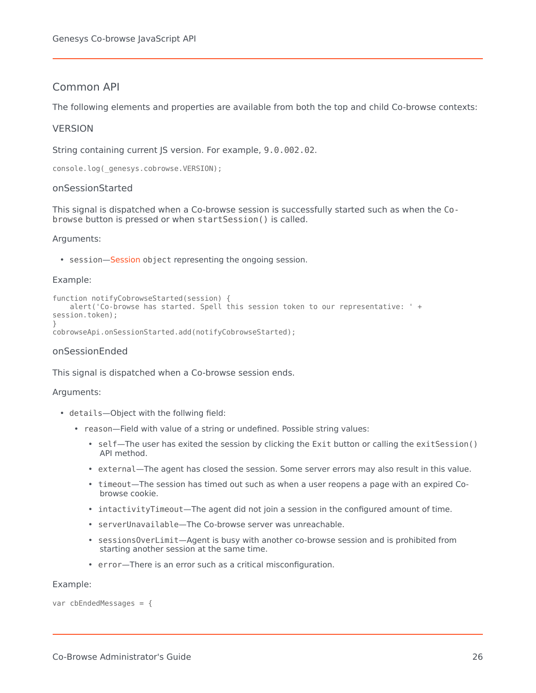### <span id="page-25-0"></span>Common API

The following elements and properties are available from both the top and child Co-browse contexts:

### **VERSION**

String containing current JS version. For example, 9.0.002.02.

console.log(\_genesys.cobrowse.VERSION);

### onSessionStarted

This signal is dispatched when a Co-browse session is successfully started such as when the Cobrowse button is pressed or when startSession() is called.

#### Arguments:

• session[—Session](/PEC-COB/Current/Developer/GCBCobrowseJavaScriptAPI#sessobj) object representing the ongoing session.

#### Example:

```
function notifyCobrowseStarted(session) {
    alert('Co-browse has started. Spell this session token to our representative: ' +
session.token);
}
```
cobrowseApi.onSessionStarted.add(notifyCobrowseStarted);

### onSessionEnded

This signal is dispatched when a Co-browse session ends.

#### Arguments:

- details—Object with the follwing field:
	- reason—Field with value of a string or undefined. Possible string values:
		- self—The user has exited the session by clicking the Exit button or calling the exitSession() API method.
		- external—The agent has closed the session. Some server errors may also result in this value.
		- timeout—The session has timed out such as when a user reopens a page with an expired Cobrowse cookie.
		- intactivityTimeout—The agent did not join a session in the configured amount of time.
		- serverUnavailable—The Co-browse server was unreachable.
		- sessionsOverLimit—Agent is busy with another co-browse session and is prohibited from starting another session at the same time.
		- error—There is an error such as a critical misconfiguration.

#### Example:

var cbEndedMessages = {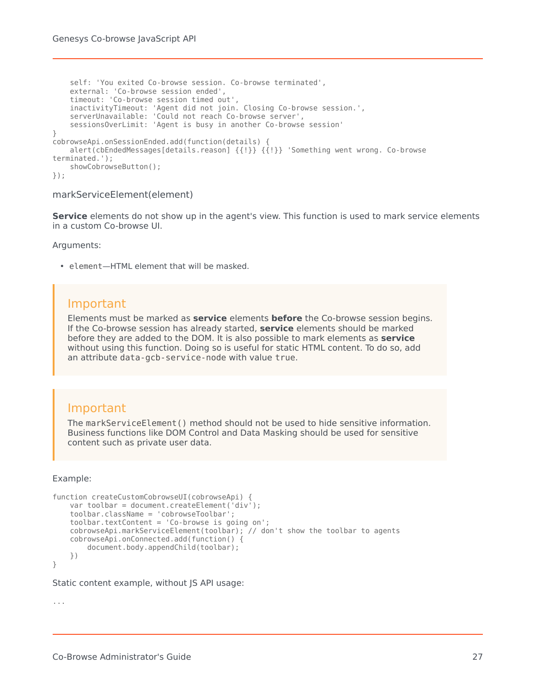```
self: 'You exited Co-browse session. Co-browse terminated',
    external: 'Co-browse session ended',
    timeout: 'Co-browse session timed out',
    inactivityTimeout: 'Agent did not join. Closing Co-browse session.',
    serverUnavailable: 'Could not reach Co-browse server',
    sessionsOverLimit: 'Agent is busy in another Co-browse session'
}
cobrowseApi.onSessionEnded.add(function(details) {
   alert(cbEndedMessages[details.reason] {{!}} {{!}} 'Something went wrong. Co-browse
terminated.');
   showCobrowseButton();
});
```
### markServiceElement(element)

**Service** elements do not show up in the agent's view. This function is used to mark service elements in a custom Co-browse UI.

Arguments:

• element—HTML element that will be masked.

### Important

Elements must be marked as **service** elements **before** the Co-browse session begins. If the Co-browse session has already started, **service** elements should be marked before they are added to the DOM. It is also possible to mark elements as **service** without using this function. Doing so is useful for static HTML content. To do so, add an attribute data-gcb-service-node with value true.

### Important

The markServiceElement() method should not be used to hide sensitive information. Business functions like DOM Control and Data Masking should be used for sensitive content such as private user data.

### Example:

```
function createCustomCobrowseUI(cobrowseApi) {
   var toolbar = document.createElement('div');
   toolbar.className = 'cobrowseToolbar';
   toolbar.textContent = 'Co-browse is going on';
   cobrowseApi.markServiceElement(toolbar); // don't show the toolbar to agents
   cobrowseApi.onConnected.add(function() {
       document.body.appendChild(toolbar);
   })
```
}

Static content example, without JS API usage:

...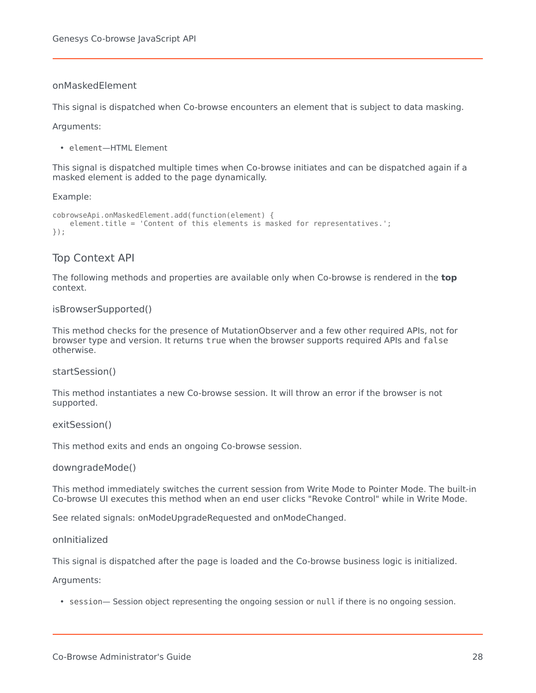### onMaskedElement

This signal is dispatched when Co-browse encounters an element that is subject to data masking.

Arguments:

• element—HTML Element

This signal is dispatched multiple times when Co-browse initiates and can be dispatched again if a masked element is added to the page dynamically.

Example:

```
cobrowseApi.onMaskedElement.add(function(element) {
    element.title = 'Content of this elements is masked for representatives.';
});
```
### <span id="page-27-0"></span>Top Context API

The following methods and properties are available only when Co-browse is rendered in the **top** context.

#### isBrowserSupported()

This method checks for the presence of MutationObserver and a few other required APIs, not for browser type and version. It returns true when the browser supports required APIs and false otherwise.

startSession()

This method instantiates a new Co-browse session. It will throw an error if the browser is not supported.

#### exitSession()

This method exits and ends an ongoing Co-browse session.

downgradeMode()

This method immediately switches the current session from Write Mode to Pointer Mode. The built-in Co-browse UI executes this method when an end user clicks "Revoke Control" while in Write Mode.

See related signals: onModeUpgradeRequested and onModeChanged.

onInitialized

This signal is dispatched after the page is loaded and the Co-browse business logic is initialized.

Arguments:

• session— Session object representing the ongoing session or null if there is no ongoing session.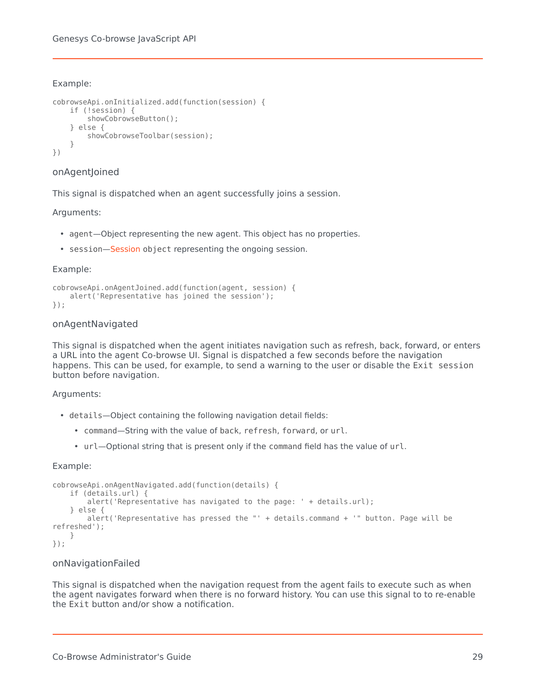### Example:

```
cobrowseApi.onInitialized.add(function(session) {
    if (!session) {
       showCobrowseButton();
    } else {
        showCobrowseToolbar(session);
    }
})
```
### onAgentJoined

This signal is dispatched when an agent successfully joins a session.

### Arguments:

- agent—Object representing the new agent. This object has no properties.
- session[—Session](/PEC-COB/Current/Developer/GCBCobrowseJavaScriptAPI#sessobj) object representing the ongoing session.

### Example:

```
cobrowseApi.onAgentJoined.add(function(agent, session) {
   alert('Representative has joined the session');
});
```
### onAgentNavigated

This signal is dispatched when the agent initiates navigation such as refresh, back, forward, or enters a URL into the agent Co-browse UI. Signal is dispatched a few seconds before the navigation happens. This can be used, for example, to send a warning to the user or disable the Exit session button before navigation.

### Arguments:

- details—Object containing the following navigation detail fields:
	- command—String with the value of back, refresh, forward, or url.
	- url—Optional string that is present only if the command field has the value of url.

### Example:

```
cobrowseApi.onAgentNavigated.add(function(details) {
    if (details.url) {
        alert('Representative has navigated to the page: ' + details.url);
    } else {
       alert('Representative has pressed the "' + details.command + '" button. Page will be
refreshed');
    }
});
```
### onNavigationFailed

This signal is dispatched when the navigation request from the agent fails to execute such as when the agent navigates forward when there is no forward history. You can use this signal to to re-enable the Exit button and/or show a notification.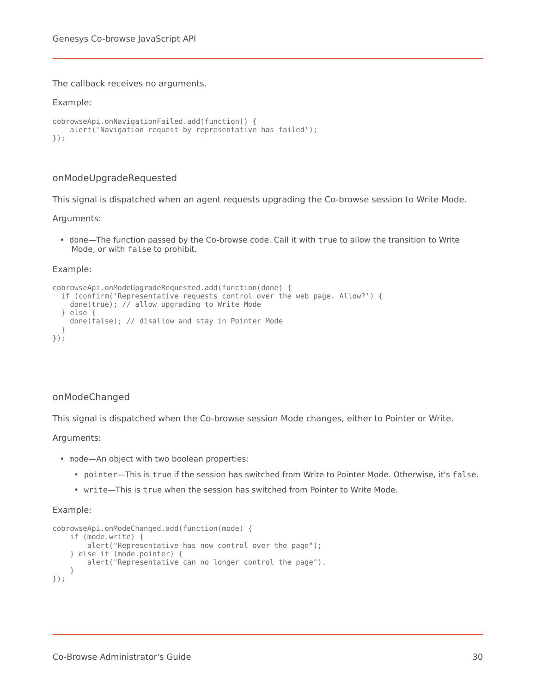The callback receives no arguments.

### Example:

```
cobrowseApi.onNavigationFailed.add(function() {
    alert('Navigation request by representative has failed');
});
```
### onModeUpgradeRequested

This signal is dispatched when an agent requests upgrading the Co-browse session to Write Mode.

Arguments:

• done—The function passed by the Co-browse code. Call it with true to allow the transition to Write Mode, or with false to prohibit.

#### Example:

```
cobrowseApi.onModeUpgradeRequested.add(function(done) {
  if (confirm('Representative requests control over the web page. Allow?') {
    done(true); // allow upgrading to Write Mode
  } else \cdotdone(false); // disallow and stay in Pointer Mode
  }
});
```
### onModeChanged

This signal is dispatched when the Co-browse session Mode changes, either to Pointer or Write.

Arguments:

- mode—An object with two boolean properties:
	- pointer—This is true if the session has switched from Write to Pointer Mode. Otherwise, it's false.
	- write—This is true when the session has switched from Pointer to Write Mode.

#### Example:

```
cobrowseApi.onModeChanged.add(function(mode) {
   if (mode.write) {
       alert("Representative has now control over the page");
    } else if (mode.pointer) {
       alert("Representative can no longer control the page").
    }
});
```